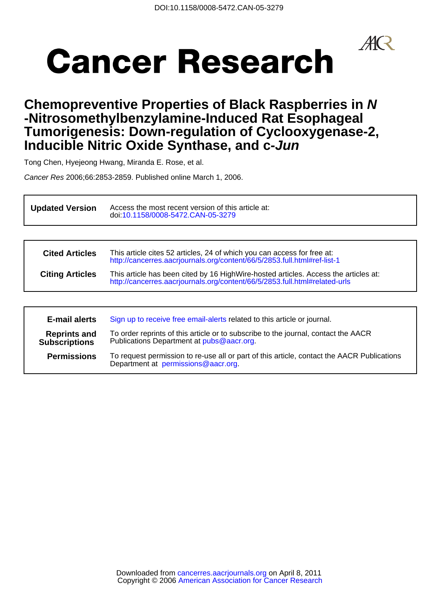$A\mathsf{R}$ 

# **Cancer Research**

## **Inducible Nitric Oxide Synthase, and c-Jun Tumorigenesis: Down-regulation of Cyclooxygenase-2, -Nitrosomethylbenzylamine-Induced Rat Esophageal Chemopreventive Properties of Black Raspberries in N**

Tong Chen, Hyejeong Hwang, Miranda E. Rose, et al.

Cancer Res 2006;66:2853-2859. Published online March 1, 2006.

**Updated Version** doi[:10.1158/0008-5472.CAN-05-3279](http://cancerres.aacrjournals.org/lookup/doi/10.1158/0008-5472.CAN-05-3279) Access the most recent version of this article at:

| <b>Cited Articles</b>  | This article cites 52 articles, 24 of which you can access for free at:<br>http://cancerres.aacrjournals.org/content/66/5/2853.full.html#ref-list-1               |
|------------------------|-------------------------------------------------------------------------------------------------------------------------------------------------------------------|
| <b>Citing Articles</b> | This article has been cited by 16 HighWire-hosted articles. Access the articles at:<br>http://cancerres.aacrjournals.org/content/66/5/2853.full.html#related-urls |

| <b>E-mail alerts</b>                        | Sign up to receive free email-alerts related to this article or journal.                                                         |
|---------------------------------------------|----------------------------------------------------------------------------------------------------------------------------------|
| <b>Reprints and</b><br><b>Subscriptions</b> | To order reprints of this article or to subscribe to the journal, contact the AACR<br>Publications Department at pubs@aacr.org.  |
| <b>Permissions</b>                          | To request permission to re-use all or part of this article, contact the AACR Publications<br>Department at permissions@aacr.org |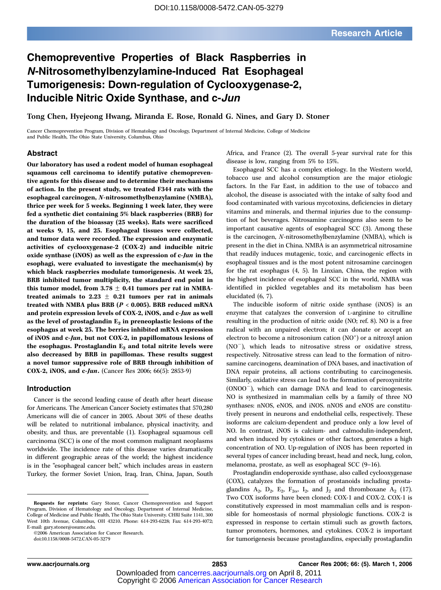### Chemopreventive Properties of Black Raspberries in N-Nitrosomethylbenzylamine-Induced Rat Esophageal Tumorigenesis: Down-regulation of Cyclooxygenase-2, Inducible Nitric Oxide Synthase, and c-Jun

Tong Chen, Hyejeong Hwang, Miranda E. Rose, Ronald G. Nines, and Gary D. Stoner

Cancer Chemoprevention Program, Division of Hematology and Oncology, Department of Internal Medicine, College of Medicine and Public Health, The Ohio State University, Columbus, Ohio

#### Abstract

Our laboratory has used a rodent model of human esophageal squamous cell carcinoma to identify putative chemopreventive agents for this disease and to determine their mechanisms of action. In the present study, we treated F344 rats with the esophageal carcinogen, N-nitrosomethylbenzylamine (NMBA), thrice per week for 5 weeks. Beginning 1 week later, they were fed a synthetic diet containing 5% black raspberries (BRB) for the duration of the bioassay (25 weeks). Rats were sacrificed at weeks 9, 15, and 25. Esophageal tissues were collected, and tumor data were recorded. The expression and enzymatic activities of cyclooxygenase-2 (COX-2) and inducible nitric oxide synthase (iNOS) as well as the expression of c-Jun in the esophagi, were evaluated to investigate the mechanism(s) by which black raspberries modulate tumorigenesis. At week 25, BRB inhibited tumor multiplicity, the standard end point in this tumor model, from  $3.78 \pm 0.41$  tumors per rat in NMBAtreated animals to 2.23  $\pm$  0.21 tumors per rat in animals treated with NMBA plus BRB  $(P < 0.005)$ . BRB reduced mRNA and protein expression levels of COX-2, iNOS, and c-Jun as well as the level of prostaglandin  $E_2$  in preneoplastic lesions of the esophagus at week 25. The berries inhibited mRNA expression of iNOS and c-Jun, but not COX-2, in papillomatous lesions of the esophagus. Prostaglandin  $E_2$  and total nitrite levels were also decreased by BRB in papillomas. These results suggest a novel tumor suppressive role of BRB through inhibition of COX-2, iNOS, and c-Jun. (Cancer Res 2006; 66(5): 2853-9)

#### Introduction

Cancer is the second leading cause of death after heart disease for Americans. The American Cancer Society estimates that 570,280 Americans will die of cancer in 2005. About 30% of these deaths will be related to nutritional imbalance, physical inactivity, and obesity, and thus, are preventable (1). Esophageal squamous cell carcinoma (SCC) is one of the most common malignant neoplasms worldwide. The incidence rate of this disease varies dramatically in different geographic areas of the world; the highest incidence is in the "esophageal cancer belt," which includes areas in eastern Turkey, the former Soviet Union, Iraq, Iran, China, Japan, South

doi:10.1158/0008-5472.CAN-05-3279

Africa, and France (2). The overall 5-year survival rate for this disease is low, ranging from 5% to 15%.

Esophageal SCC has a complex etiology. In the Western world, tobacco use and alcohol consumption are the major etiologic factors. In the Far East, in addition to the use of tobacco and alcohol, the disease is associated with the intake of salty food and food contaminated with various mycotoxins, deficiencies in dietary vitamins and minerals, and thermal injuries due to the consumption of hot beverages. Nitrosamine carcinogens also seem to be important causative agents of esophageal SCC (3). Among these is the carcinogen, N-nitrosomethylbenzylamine (NMBA), which is present in the diet in China. NMBA is an asymmetrical nitrosamine that readily induces mutagenic, toxic, and carcinogenic effects in esophageal tissues and is the most potent nitrosamine carcinogen for the rat esophagus (4, 5). In Linxian, China, the region with the highest incidence of esophageal SCC in the world, NMBA was identified in pickled vegetables and its metabolism has been elucidated (6, 7).

The inducible isoform of nitric oxide synthase (iNOS) is an enzyme that catalyzes the conversion of L-arginine to citrulline resulting in the production of nitric oxide (NO; ref. 8). NO is a free radical with an unpaired electron; it can donate or accept an electron to become a nitrosonium cation (NO<sup>+</sup>) or a nitroxyl anion  $(NO<sup>-</sup>)$ , which leads to nitrosative stress or oxidative stress, respectively. Nitrosative stress can lead to the formation of nitrosamine carcinogens, deamination of DNA bases, and inactivation of DNA repair proteins, all actions contributing to carcinogenesis. Similarly, oxidative stress can lead to the formation of peroxynitrite  $(ONOO^-)$ , which can damage DNA and lead to carcinogenesis. NO is synthesized in mammalian cells by a family of three NO synthases: nNOS, eNOS, and iNOS. nNOS and eNOS are constitutively present in neurons and endothelial cells, respectively. These isoforms are calcium-dependent and produce only a low level of NO. In contrast, iNOS is calcium- and calmodulin-independent, and when induced by cytokines or other factors, generates a high concentration of NO. Up-regulation of iNOS has been reported in several types of cancer including breast, head and neck, lung, colon, melanoma, prostate, as well as esophageal SCC (9–16).

Prostaglandin endoperoxide synthase, also called cyclooxygenase (COX), catalyzes the formation of prostanoids including prostaglandins  $A_2$ ,  $D_2$ ,  $E_2$ ,  $F_2$ ,  $I_2$ , and  $J_2$  and thromboxane  $A_2$  (17). Two COX isoforms have been cloned: COX-1 and COX-2. COX-1 is constitutively expressed in most mammalian cells and is responsible for homeostasis of normal physiologic functions. COX-2 is expressed in response to certain stimuli such as growth factors, tumor promoters, hormones, and cytokines. COX-2 is important for tumorigenesis because prostaglandins, especially prostaglandin

Copyright © 2006 [American Association for Cancer Research](http://www.aacr.org/)

Requests for reprints: Gary Stoner, Cancer Chemoprevention and Support Program, Division of Hematology and Oncology, Department of Internal Medicine, College of Medicine and Public Health, The Ohio State University. CHRI Suite 1141, 300 West 10th Avenue, Columbus, OH 43210. Phone: 614-293-6228; Fax: 614-293-4072; E-mail: gary.stoner@osumc.edu.

<sup>©2006</sup> American Association for Cancer Research.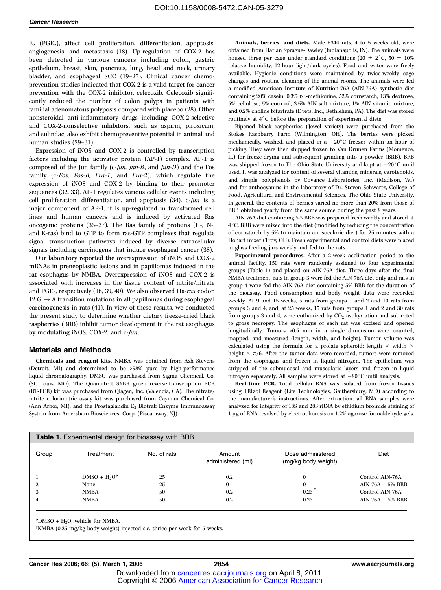$E<sub>2</sub>$  (PGE<sub>2</sub>), affect cell proliferation, differentiation, apoptosis, angiogenesis, and metastasis (18). Up-regulation of COX-2 has been detected in various cancers including colon, gastric epithelium, breast, skin, pancreas, lung, head and neck, urinary bladder, and esophageal SCC (19–27). Clinical cancer chemoprevention studies indicated that COX-2 is a valid target for cancer prevention with the COX-2 inhibitor, celecoxib. Celecoxib significantly reduced the number of colon polyps in patients with familial adenomatous polyposis compared with placebo (28). Other nonsteroidal anti-inflammatory drugs including COX-2-selective and COX-2-nonselective inhibitors, such as aspirin, piroxicam, and sulindac, also exhibit chemopreventive potential in animal and human studies (29–31).

Expression of iNOS and COX-2 is controlled by transcription factors including the activator protein (AP-1) complex. AP-1 is composed of the Jun family (c-Jun, Jun-B, and Jun-D) and the Fos family (c-Fos, Fos-B, Fra-1, and Fra-2), which regulate the expression of iNOS and COX-2 by binding to their promoter sequences (32, 33). AP-1 regulates various cellular events including cell proliferation, differentiation, and apoptosis (34). c-Jun is a major component of AP-1, it is up-regulated in transformed cell lines and human cancers and is induced by activated Ras oncogenic proteins (35–37). The Ras family of proteins (H-, N-, and K-ras) bind to GTP to form ras-GTP complexes that regulate signal transduction pathways induced by diverse extracellular signals including carcinogens that induce esophageal cancer (38).

Our laboratory reported the overexpression of iNOS and COX-2 mRNAs in preneoplastic lesions and in papillomas induced in the rat esophagus by NMBA. Overexpression of iNOS and COX-2 is associated with increases in the tissue content of nitrite/nitrate and PGE<sub>2</sub>, respectively (16, 39, 40). We also observed Ha-ras codon 12 G  $\rightarrow$  A transition mutations in all papillomas during esophageal carcinogenesis in rats (41). In view of these results, we conducted the present study to determine whether dietary freeze-dried black raspberries (BRB) inhibit tumor development in the rat esophagus by modulating iNOS, COX-2, and c-Jun.

#### Materials and Methods

Chemicals and reagent kits. NMBA was obtained from Ash Stevens (Detroit, MI) and determined to be >98% pure by high-performance liquid chromatography. DMSO was purchased from Sigma Chemical, Co. (St. Louis, MO). The QuantiTect SYBR green reverse-transcription PCR (RT-PCR) kit was purchased from Qiagen, Inc. (Valencia, CA). The nitrate/ nitrite colorimetric assay kit was purchased from Cayman Chemical Co. (Ann Arbor, MI), and the Prostaglandin  $E_2$  Biotrak Enzyme Immunoassay System from Amersham Biosciences, Corp. (Piscataway, NJ).

Animals, berries, and diets. Male F344 rats, 4 to 5 weeks old, were obtained from Harlan Sprague-Dawley (Indianapolis, IN). The animals were housed three per cage under standard conditions (20  $\pm$  2°C, 50  $\pm$  10% relative humidity, 12-hour light/dark cycles). Food and water were freely available. Hygienic conditions were maintained by twice-weekly cage changes and routine cleaning of the animal rooms. The animals were fed a modified American Institute of Nutrition-76A (AIN-76A) synthetic diet containing 20% casein, 0.3% D,L-methionine, 52% cornstarch, 13% dextrose, 5% cellulose, 5% corn oil, 3.5% AIN salt mixture, 1% AIN vitamin mixture, and 0.2% choline bitartrate (Dyets, Inc., Bethlehem, PA). The diet was stored routinely at  $4^{\circ}$ C before the preparation of experimental diets.

Ripened black raspberries ( Jewel variety) were purchased from the Stokes Raspberry Farm (Wilmington, OH). The berries were picked mechanically, washed, and placed in a  $-20^{\circ}$ C freezer within an hour of picking. They were then shipped frozen to Van Drunen Farms (Momence, IL) for freeze-drying and subsequent grinding into a powder (BRB). BRB was shipped frozen to The Ohio State University and kept at  $-20^{\circ}$ C until used. It was analyzed for content of several vitamins, minerals, carotenoids, and simple polyphenols by Covance Laboratories, Inc. (Madison, WI) and for anthocyanins in the laboratory of Dr. Steven Schwartz, College of Food, Agriculture, and Environmental Sciences, The Ohio State University. In general, the contents of berries varied no more than 20% from those of BRB obtained yearly from the same source during the past 8 years.

AIN-76A diet containing 5% BRB was prepared fresh weekly and stored at 4°C. BRB were mixed into the diet (modified by reducing the concentration of cornstarch by 5% to maintain an isocaloric diet) for 25 minutes with a Hobart mixer (Troy, OH). Fresh experimental and control diets were placed in glass feeding jars weekly and fed to the rats.

Experimental procedures. After a 2-week acclimation period to the animal facility, 150 rats were randomly assigned to four experimental groups (Table 1) and placed on AIN-76A diet. Three days after the final NMBA treatment, rats in group 3 were fed the AIN-76A diet only and rats in group 4 were fed the AIN-76A diet containing 5% BRB for the duration of the bioassay. Food consumption and body weight data were recorded weekly. At 9 and 15 weeks, 5 rats from groups 1 and 2 and 10 rats from groups 3 and 4; and, at 25 weeks, 15 rats from groups 1 and 2 and 30 rats from groups 3 and 4, were euthanized by  $CO<sub>2</sub>$  asphyxiation and subjected to gross necropsy. The esophagus of each rat was excised and opened longitudinally. Tumors >0.5 mm in a single dimension were counted, mapped, and measured (length, width, and height). Tumor volume was calculated using the formula for a prolate spheroid: length  $\times$  width  $\times$ height  $\times \pi/6$ . After the tumor data were recorded, tumors were removed from the esophagus and frozen in liquid nitrogen. The epithelium was stripped of the submucosal and muscularis layers and frozen in liquid nitrogen separately. All samples were stored at  $-80^{\circ}$ C until analysis.

Real-time PCR. Total cellular RNA was isolated from frozen tissues using TRIzol Reagent (Life Technologies, Gaithersburg, MD) according to the manufacturer's instructions. After extraction, all RNA samples were analyzed for integrity of 18S and 28S rRNA by ethidium bromide staining of 1 µg of RNA resolved by electrophoresis on 1.2% agarose formaldehyde gels.

| Group | Treatment     | No. of rats | Amount<br>administered (ml) | Dose administered<br>(mg/kg body weight) | Diet                |
|-------|---------------|-------------|-----------------------------|------------------------------------------|---------------------|
|       | $DMSO + H2O*$ | 25          | 0.2                         | 0                                        | Control AIN-76A     |
|       | None          | 25          | $\bf{0}$                    | 0                                        | $AIN-76A + 5\% BRB$ |
| 3     | <b>NMBA</b>   | 50          | 0.2                         | 0.25                                     | Control AIN-76A     |
|       | <b>NMBA</b>   | 50          | 0.2                         | 0.25                                     | $AIN-76A + 5\% BRB$ |

\*DMSO + H2O, vehicle for NMBA.

tNMBA (0.25 mg/kg body weight) injected s.c. thrice per week for 5 weeks.

 Copyright © 2006 [American Association for Cancer Research](http://www.aacr.org/) Downloaded from [cancerres.aacrjournals.org](http://cancerres.aacrjournals.org/) on April 8, 2011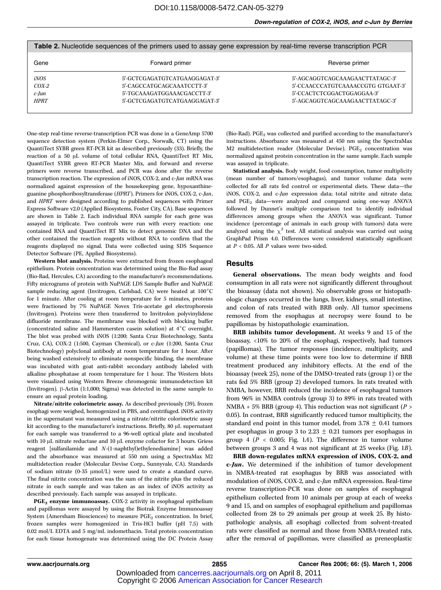| Table 2. Nucleotide sequences of the primers used to assay gene expression by real-time reverse transcription PCR           |                                                                                                                                        |  |  |  |
|-----------------------------------------------------------------------------------------------------------------------------|----------------------------------------------------------------------------------------------------------------------------------------|--|--|--|
| Forward primer                                                                                                              | Reverse primer                                                                                                                         |  |  |  |
| 5'-GCTCGAGATGTCATGAAGGAGAT-3'<br>5'-CAGCCATGCAGCAAATCCTT-3'<br>5'-TGCAAAGATGGAAACGACCTT-3'<br>5'-GCTCGAGATGTCATGAAGGAGAT-3' | 5'-AGCAGGTCAGCAAAGAACTTATAGC-3'<br>5'-CCAACCCATGTCAAAACCGTG GTGAAT-3'<br>5'-CCACTCTCGGACTGGAGGAA-3'<br>5'-AGCAGGTCAGCAAAGAACTTATAGC-3' |  |  |  |
|                                                                                                                             |                                                                                                                                        |  |  |  |

One-step real-time reverse-transcription PCR was done in a GeneAmp 5700 sequence detection system (Perkin-Elmer Corp., Norwalk, CT) using the QuantiTect SYBR green RT-PCR kit as described previously (33). Briefly, the reaction of a 50 µL volume of total cellular RNA, QuantiTect RT Mix, QuantiTect SYBR green RT-PCR Master Mix, and forward and reverse primers were reverse transcribed, and PCR was done after the reverse transcription reaction. The expression of iNOS, COX-2, and c-Jun mRNA was normalized against expression of the housekeeping gene, hypoxanthineguanine phosphoribosyltransferase (HPRT). Primers for iNOS, COX-2, c-Jun, and HPRT were designed according to published sequences with Primer Express Software v2.0 (Applied Biosystems, Foster City, CA). Base sequences are shown in Table 2. Each individual RNA sample for each gene was assayed in triplicate. Two controls were run with every reaction: one contained RNA and QuantiTect RT Mix to detect genomic DNA and the other contained the reaction reagents without RNA to confirm that the reagents displayed no signal. Data were collected using SDS Sequence Detector Software (PE, Applied Biosystems).

Western blot analysis. Proteins were extracted from frozen esophageal epithelium. Protein concentration was determined using the Bio-Rad assay (Bio-Rad, Hercules, CA) according to the manufacturer's recommendations. Fifty micrograms of protein with NuPAGE LDS Sample Buffer and NuPAGE sample reducing agent (Invitrogen, Carlsbad, CA) were heated at  $100^{\circ}$ C for 1 minute. After cooling at room temperature for 5 minutes, proteins were fractioned by 7% NuPAGE Novex Tris-acetate gel electrophoresis (Invitrogen). Proteins were then transferred to Invitrolon polyvinylidene difluoride membrane. The membrane was blocked with blocking buffer (concentrated saline and Hammersten casein solution) at  $4^{\circ}$ C overnight. The blot was probed with iNOS (1:200; Santa Cruz Biotechnology, Santa Cruz, CA), COX-2 (1:500, Cayman Chemical), or c-Jun (1:200, Santa Cruz Biotechnology) polyclonal antibody at room temperature for 1 hour. After being washed extensively to eliminate nonspecific binding, the membrane was incubated with goat anti-rabbit secondary antibody labeled with alkaline phosphatase at room temperature for 1 hour. The Western blots were visualized using Western Breeze chromogenic immunodetection kit (Invitrogen).  $\beta$ -Actin (1:1,000; Sigma) was detected in the same sample to ensure an equal protein loading.

Nitrate/nitrite colorimetric assay. As described previously (39), frozen esophagi were weighed, homogenized in PBS, and centrifuged. iNOS activity in the supernatant was measured using a nitrate/nitrite colorimetric assay kit according to the manufacturer's instructions. Briefly, 80 µL supernatant for each sample was transferred to a 96-well optical plate and incubated with 10  $\mu$ L nitrate reductase and 10  $\mu$ L enzyme cofactor for 3 hours. Griess reagent [sulfanilamide and N-(1-naphthyl)ethylenediamine] was added and the absorbance was measured at 550 nm using a SpectraMax M2 multidetection reader (Molecular Devise Corp., Sunnyvale, CA). Standards of sodium nitrate (0-35  $\mu$ mol/L) were used to create a standard curve. The final nitrite concentration was the sum of the nitrite plus the reduced nitrate in each sample and was taken as an index of iNOS activity as described previously. Each sample was assayed in triplicate.

PGE<sub>2</sub> enzyme immunoassay. COX-2 activity in esophageal epithelium and papillomas were assayed by using the Biotrak Enzyme Immunoassay System (Amersham Biosciences) to measure  $PGE_2$  concentration. In brief, frozen samples were homogenized in Tris-HCl buffer (pH 7.5) with 0.02 mol/L EDTA and 5 mg/mL indomethacin. Total protein concentration for each tissue homogenate was determined using the DC Protein Assay

(Bio-Rad). PGE<sub>2</sub> was collected and purified according to the manufacturer's instructions. Absorbance was measured at 450 nm using the SpectraMax M2 multidetection reader (Molecular Devise).  $PGE_2$  concentration was normalized against protein concentration in the same sample. Each sample was assayed in triplicate.

Statistical analysis. Body weight, food consumption, tumor multiplicity (mean number of tumors/esophagus), and tumor volume data were collected for all rats fed control or experimental diets. These data—the iNOS, COX-2, and c-Jun expression data; total nitrite and nitrate data; and PGE<sub>2</sub> data—were analyzed and compared using one-way ANOVA followed by Dunnet's multiple comparison test to identify individual differences among groups when the ANOVA was significant. Tumor incidence (percentage of animals in each group with tumors) data were analyzed using the  $\chi^2$  test. All statistical analysis was carried out using GraphPad Prism 4.0. Differences were considered statistically significant at  $P < 0.05$ . All  $P$  values were two-sided.

#### **Results**

General observations. The mean body weights and food consumption in all rats were not significantly different throughout the bioassay (data not shown). No observable gross or histopathologic changes occurred in the lungs, liver, kidneys, small intestine, and colon of rats treated with BRB only. All tumor specimens removed from the esophagus at necropsy were found to be papillomas by histopathologic examination.

BRB inhibits tumor development. At weeks 9 and 15 of the bioassay, <10% to 20% of the esophagi, respectively, had tumors (papillomas). The tumor responses (incidence, multiplicity, and volume) at these time points were too low to determine if BRB treatment produced any inhibitory effects. At the end of the bioassay (week 25), none of the DMSO-treated rats (group 1) or the rats fed 5% BRB (group 2) developed tumors. In rats treated with NMBA, however, BRB reduced the incidence of esophageal tumors from 96% in NMBA controls (group 3) to 89% in rats treated with NMBA + 5% BRB (group 4). This reduction was not significant ( $P >$ 0.05). In contrast, BRB significantly reduced tumor multiplicity, the standard end point in this tumor model, from 3.78  $\pm$  0.41 tumors per esophagus in group 3 to 2.23  $\pm$  0.21 tumors per esophagus in group 4 ( $P < 0.005$ ; Fig. 1A). The difference in tumor volume between groups 3 and 4 was not significant at 25 weeks (Fig. 1B).

BRB down-regulates mRNA expression of iNOS, COX-2, and c-Jun. We determined if the inhibition of tumor development in NMBA-treated rat esophagus by BRB was associated with modulation of iNOS, COX-2, and c-Jun mRNA expression. Real-time reverse transcription-PCR was done on samples of esophageal epithelium collected from 10 animals per group at each of weeks 9 and 15, and on samples of esophageal epithelium and papillomas collected from 28 to 29 animals per group at week 25. By histopathologic analysis, all esophagi collected from solvent-treated rats were classified as normal and those from NMBA-treated rats, after the removal of papillomas, were classified as preneoplastic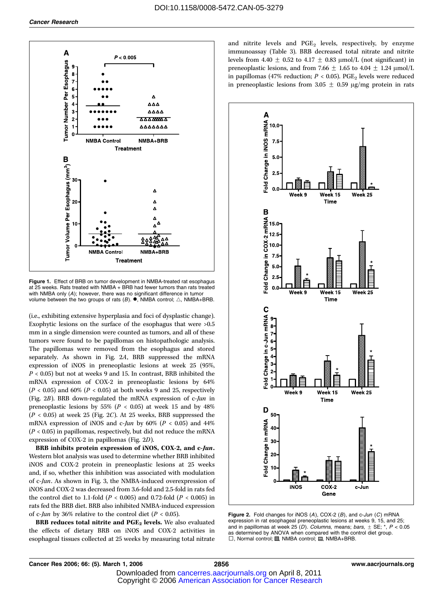

Figure 1. Effect of BRB on tumor development in NMBA-treated rat esophagus at 25 weeks. Rats treated with NMBA + BRB had fewer tumors than rats treated with NMBA only (A); however, there was no significant difference in tumor volume between the two groups of rats  $(B)$ .  $\bullet$ , NMBA control;  $\triangle$ , NMBA+BRB.

(i.e., exhibiting extensive hyperplasia and foci of dysplastic change). Exophytic lesions on the surface of the esophagus that were >0.5 mm in a single dimension were counted as tumors, and all of these tumors were found to be papillomas on histopathologic analysis. The papillomas were removed from the esophagus and stored separately. As shown in Fig. 2A, BRB suppressed the mRNA expression of iNOS in preneoplastic lesions at week 25 (95%,  $P < 0.05$ ) but not at weeks 9 and 15. In contrast, BRB inhibited the mRNA expression of COX-2 in preneoplastic lesions by 64%  $(P < 0.05)$  and 60%  $(P < 0.05)$  at both weeks 9 and 25, respectively (Fig. 2B). BRB down-regulated the mRNA expression of c-Jun in preneoplastic lesions by 55% ( $P < 0.05$ ) at week 15 and by 48%  $(P < 0.05)$  at week 25 (Fig. 2C). At 25 weeks, BRB suppressed the mRNA expression of iNOS and c-Jun by  $60\%$  ( $P < 0.05$ ) and  $44\%$  $(P < 0.05)$  in papillomas, respectively, but did not reduce the mRNA expression of COX-2 in papillomas (Fig. 2D).

BRB inhibits protein expression of iNOS, COX-2, and c-Jun. Western blot analysis was used to determine whether BRB inhibited iNOS and COX-2 protein in preneoplastic lesions at 25 weeks and, if so, whether this inhibition was associated with modulation of c-Jun. As shown in Fig. 3, the NMBA-induced overexpression of iNOS and COX-2 was decreased from 3.6-fold and 2.5-fold in rats fed the control diet to 1.1-fold ( $P < 0.005$ ) and 0.72-fold ( $P < 0.005$ ) in rats fed the BRB diet. BRB also inhibited NMBA-induced expression of c-Jun by 36% relative to the control diet ( $P < 0.05$ ).

BRB reduces total nitrite and PGE<sub>2</sub> levels. We also evaluated the effects of dietary BRB on iNOS and COX-2 activities in esophageal tissues collected at 25 weeks by measuring total nitrate and nitrite levels and  $PGE_2$  levels, respectively, by enzyme immunoassay (Table 3). BRB decreased total nitrate and nitrite levels from 4.40  $\pm$  0.52 to 4.17  $\pm$  0.83  $\mu$ mol/L (not significant) in preneoplastic lesions, and from 7.66  $\pm$  1.65 to 4.04  $\pm$  1.24  $\mu$ mol/L in papillomas (47% reduction;  $P < 0.05$ ). PGE<sub>2</sub> levels were reduced in preneoplastic lesions from 3.05  $\pm$  0.59  $\mu$ g/mg protein in rats



Figure 2. Fold changes for iNOS (A), COX-2 (B), and c-Jun (C) mRNA expression in rat esophageal preneoplastic lesions at weeks 9, 15, and 25; and in papillomas at week 25 (D). Columns, means; bars,  $\pm$  SE;  $^*$ , P < 0.05 as determined by ANOVA when compared with the control diet group.  $\square$ , Normal control;  $\blacksquare$ , NMBA control;  $\boxdot$ , NMBA+BRB.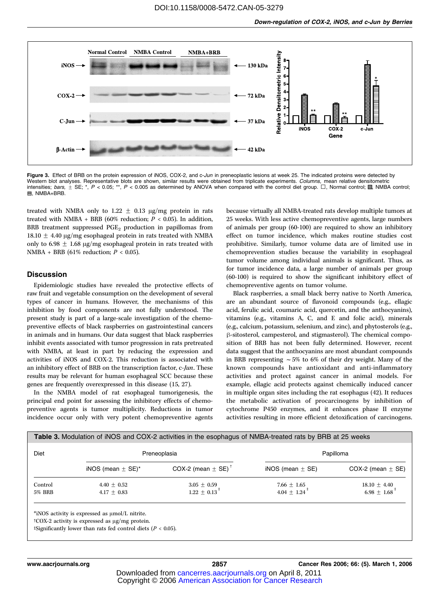

Figure 3. Effect of BRB on the protein expression of iNOS, COX-2, and c-Jun in preneoplastic lesions at week 25. The indicated proteins were detected by Western blot analyses. Representative blots are shown, similar results were obtained from triplicate experiments. Columns, mean relative densitometric intensities; bars,  $\pm$  SE; \*, P < 0.05; \*\*, P < 0.005 as determined by ANOVA when compared with the control diet group.  $\Box$ , Normal control; **a**, NMBA control; , NMBA+BRB.

treated with NMBA only to 1.22  $\pm$  0.13  $\mu$ g/mg protein in rats treated with NMBA + BRB (60% reduction;  $P < 0.05$ ). In addition, BRB treatment suppressed  $PGE_2$  production in papillomas from  $18.10 \pm 4.40$   $\mu$ g/mg esophageal protein in rats treated with NMBA only to 6.98  $\pm$  1.68  $\mu$ g/mg esophageal protein in rats treated with NMBA + BRB (61% reduction;  $P < 0.05$ ).

#### **Discussion**

Epidemiologic studies have revealed the protective effects of raw fruit and vegetable consumption on the development of several types of cancer in humans. However, the mechanisms of this inhibition by food components are not fully understood. The present study is part of a large-scale investigation of the chemopreventive effects of black raspberries on gastrointestinal cancers in animals and in humans. Our data suggest that black raspberries inhibit events associated with tumor progression in rats pretreated with NMBA, at least in part by reducing the expression and activities of iNOS and COX-2. This reduction is associated with an inhibitory effect of BRB on the transcription factor, c-Jun. These results may be relevant for human esophageal SCC because these genes are frequently overexpressed in this disease (15, 27).

In the NMBA model of rat esophageal tumorigenesis, the principal end point for assessing the inhibitory effects of chemopreventive agents is tumor multiplicity. Reductions in tumor incidence occur only with very potent chemopreventive agents because virtually all NMBA-treated rats develop multiple tumors at 25 weeks. With less active chemopreventive agents, large numbers of animals per group (60-100) are required to show an inhibitory effect on tumor incidence, which makes routine studies cost prohibitive. Similarly, tumor volume data are of limited use in chemoprevention studies because the variability in esophageal tumor volume among individual animals is significant. Thus, as for tumor incidence data, a large number of animals per group (60-100) is required to show the significant inhibitory effect of chemopreventive agents on tumor volume.

Black raspberries, a small black berry native to North America, are an abundant source of flavonoid compounds (e.g., ellagic acid, ferulic acid, coumaric acid, quercetin, and the anthocyanins), vitamins (e.g., vitamins A, C, and E and folic acid), minerals (e.g., calcium, potassium, selenium, and zinc), and phytosterols (e.g., h-sitosterol, campesterol, and stigmasterol). The chemical composition of BRB has not been fully determined. However, recent data suggest that the anthocyanins are most abundant compounds in BRB representing  $\sim 5\%$  to 6% of their dry weight. Many of the known compounds have antioxidant and anti-inflammatory activities and protect against cancer in animal models. For example, ellagic acid protects against chemically induced cancer in multiple organ sites including the rat esophagus (42). It reduces the metabolic activation of procarcinogens by inhibition of cytochrome P450 enzymes, and it enhances phase II enzyme activities resulting in more efficient detoxification of carcinogens.

| Diet              |                                                                                                                                                                                                   | Preneoplasia                                    | Papilloma                                       |                                                  |  |
|-------------------|---------------------------------------------------------------------------------------------------------------------------------------------------------------------------------------------------|-------------------------------------------------|-------------------------------------------------|--------------------------------------------------|--|
|                   | iNOS (mean $\pm$ SE)*                                                                                                                                                                             | COX-2 (mean $\pm$ SE) <sup>†</sup>              | iNOS (mean $\pm$ SE)                            | COX-2 (mean $\pm$ SE)                            |  |
| Control<br>5% BRB | $4.40 \pm 0.52$<br>$4.17 + 0.83$                                                                                                                                                                  | $3.05 \pm 0.59$<br>$1.22 \pm 0.13$ <sup>‡</sup> | $7.66 \pm 1.65$<br>$4.04 \pm 1.24$ <sup>†</sup> | $18.10 \pm 4.40$<br>$6.98 \pm 1.68$ <sup>‡</sup> |  |
|                   | *iNOS activity is expressed as $\mu$ mol/L nitrite.<br><sup>†</sup> COX-2 activity is expressed as µg/mg protein.<br><sup>‡</sup> Significantly lower than rats fed control diets ( $P < 0.05$ ). |                                                 |                                                 |                                                  |  |

 Copyright © 2006 [American Association for Cancer Research](http://www.aacr.org/) Downloaded from [cancerres.aacrjournals.org](http://cancerres.aacrjournals.org/) on April 8, 2011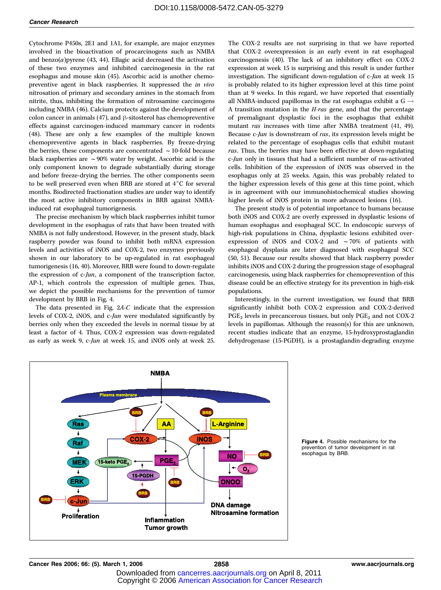Cytochrome P450s, 2E1 and 1A1, for example, are major enzymes involved in the bioactivation of procarcinogens such as NMBA and benzo $(a)$ pyrene (43, 44). Ellagic acid decreased the activation of these two enzymes and inhibited carcinogenesis in the rat esophagus and mouse skin (45). Ascorbic acid is another chemopreventive agent in black raspberries. It suppressed the in vivo nitrosation of primary and secondary amines in the stomach from nitrite, thus, inhibiting the formation of nitrosamine carcinogens including NMBA (46). Calcium protects against the development of colon cancer in animals  $(47)$ , and  $\beta$ -sitosterol has chemopreventive effects against carcinogen-induced mammary cancer in rodents (48). These are only a few examples of the multiple known chemopreventive agents in black raspberries. By freeze-drying the berries, these components are concentrated  $\sim$  10-fold because black raspberries are  $\sim$  90% water by weight. Ascorbic acid is the only component known to degrade substantially during storage and before freeze-drying the berries. The other components seem to be well preserved even when BRB are stored at  $4^{\circ}$ C for several months. Biodirected fractionation studies are under way to identify the most active inhibitory components in BRB against NMBAinduced rat esophageal tumorigenesis.

The precise mechanism by which black raspberries inhibit tumor development in the esophagus of rats that have been treated with NMBA is not fully understood. However, in the present study, black raspberry powder was found to inhibit both mRNA expression levels and activities of iNOS and COX-2, two enzymes previously shown in our laboratory to be up-regulated in rat esophageal tumorigenesis (16, 40). Moreover, BRB were found to down-regulate the expression of c-Jun, a component of the transcription factor, AP-1, which controls the expression of multiple genes. Thus, we depict the possible mechanisms for the prevention of tumor development by BRB in Fig. 4.

The data presented in Fig. 2A-C indicate that the expression levels of COX-2, iNOS, and c-Jun were modulated significantly by berries only when they exceeded the levels in normal tissue by at least a factor of 4. Thus, COX-2 expression was down-regulated as early as week 9, c-Jun at week 15, and iNOS only at week 25.

The COX-2 results are not surprising in that we have reported that COX-2 overexpression is an early event in rat esophageal carcinogenesis (40). The lack of an inhibitory effect on COX-2 expression at week 15 is surprising and this result is under further investigation. The significant down-regulation of c-Jun at week 15 is probably related to its higher expression level at this time point than at 9 weeks. In this regard, we have reported that essentially all NMBA-induced papillomas in the rat esophagus exhibit a G  $\rightarrow$ A transition mutation in the H-ras gene, and that the percentage of premalignant dysplastic foci in the esophagus that exhibit mutant ras increases with time after NMBA treatment (41, 49). Because c-Jun is downstream of ras, its expression levels might be related to the percentage of esophagus cells that exhibit mutant ras. Thus, the berries may have been effective at down-regulating c-Jun only in tissues that had a sufficient number of ras-activated cells. Inhibition of the expression of iNOS was observed in the esophagus only at 25 weeks. Again, this was probably related to the higher expression levels of this gene at this time point, which is in agreement with our immunohistochemical studies showing higher levels of iNOS protein in more advanced lesions (16).

The present study is of potential importance to humans because both iNOS and COX-2 are overly expressed in dysplastic lesions of human esophagus and esophageal SCC. In endoscopic surveys of high-risk populations in China, dysplastic lesions exhibited overexpression of iNOS and COX-2 and  $\sim$  70% of patients with esophageal dysplasia are later diagnosed with esophageal SCC (50, 51). Because our results showed that black raspberry powder inhibits iNOS and COX-2 during the progression stage of esophageal carcinogenesis, using black raspberries for chemoprevention of this disease could be an effective strategy for its prevention in high-risk populations.

Interestingly, in the current investigation, we found that BRB significantly inhibit both COX-2 expression and COX-2-derived  $PGE_2$  levels in precancerous tissues, but only  $PGE_2$  and not COX-2 levels in papillomas. Although the reason(s) for this are unknown, recent studies indicate that an enzyme, 15-hydroxyprostaglandin dehydrogenase (15-PGDH), is a prostaglandin-degrading enzyme



Figure 4. Possible mechanisms for the prevention of tumor development in rat esophagus by BRB.